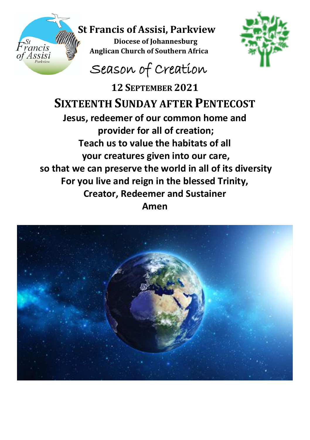

## **St Francis of Assisi, Parkview**

**Diocese of Johannesburg Anglican Church of Southern Africa**<br>**Assisi Anglican Church of Southern Africa** 



## Season of Creation

**12 SEPTEMBER 2021 SIXTEENTH SUNDAY AFTER PENTECOST Jesus, redeemer of our common home and provider for all of creation; Teach us to value the habitats of all your creatures given into our care, so that we can preserve the world in all of its diversity For you live and reign in the blessed Trinity, Creator, Redeemer and Sustainer Amen**

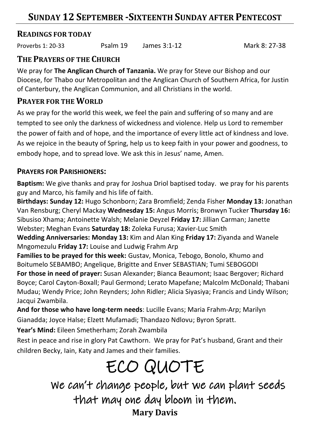## **SUNDAY 12 SEPTEMBER -SIXTEENTH SUNDAY AFTER PENTECOST**

### **READINGS FOR TODAY**

Proverbs 1: 20-33 Psalm 19 James 3:1-12 Mark 8: 27-38

### **THE PRAYERS OF THE CHURCH**

We pray for **The Anglican Church of Tanzania.** We pray for Steve our Bishop and our Diocese, for Thabo our Metropolitan and the Anglican Church of Southern Africa, for Justin of Canterbury, the Anglican Communion, and all Christians in the world.

### **PRAYER FOR THE WORLD**

As we pray for the world this week, we feel the pain and suffering of so many and are tempted to see only the darkness of wickedness and violence. Help us Lord to remember the power of faith and of hope, and the importance of every little act of kindness and love. As we rejoice in the beauty of Spring, help us to keep faith in your power and goodness, to embody hope, and to spread love. We ask this in Jesus' name, Amen.

### **PRAYERS FOR PARISHIONERS:**

**Baptism:** We give thanks and pray for Joshua Driol baptised today. we pray for his parents guy and Marco, his family and his life of faith.

**Birthdays: Sunday 12:** Hugo Schonborn; Zara Bromfield; Zenda Fisher **Monday 13:** Jonathan Van Rensburg; Cheryl Mackay **Wednesday 15:** Angus Morris; Bronwyn Tucker **Thursday 16:** Sibusiso Xhama; Antoinette Walsh; Melanie Deyzel **Friday 17:** Jillian Carman; Janette Webster; Meghan Evans **Saturday 18:** Zoleka Furusa; Xavier-Luc Smith

**Wedding Anniversaries: Monday 13:** Kim and Alan King **Friday 17:** Ziyanda and Wanele Mngomezulu **Friday 17:** Louise and Ludwig Frahm Arp

**Families to be prayed for this week:** Gustav, Monica, Tebogo, Bonolo, Khumo and Boitumelo SEBAMBO; Angelique, Brigitte and Enver SEBASTIAN; Tumi SEBOGODI **For those in need of prayer:** Susan Alexander; Bianca Beaumont; Isaac Bergover; Richard Boyce; Carol Cayton-Boxall; Paul Germond; Lerato Mapefane; Malcolm McDonald; Thabani Mudau; Wendy Price; John Reynders; John Ridler; Alicia Siyasiya; Francis and Lindy Wilson; Jacqui Zwambila.

**And for those who have long-term needs**: Lucille Evans; Maria Frahm-Arp; Marilyn Gianadda; Joyce Halse; Elzett Mufamadi; Thandazo Ndlovu; Byron Spratt.

**Year's Mind:** Eileen Smetherham; Zorah Zwambila

Rest in peace and rise in glory Pat Cawthorn. We pray for Pat's husband, Grant and their children Becky, Iain, Katy and James and their families.

# ECO QUOTE

 We can't change people, but we can plant seeds that may one day bloom in them. **Mary Davis**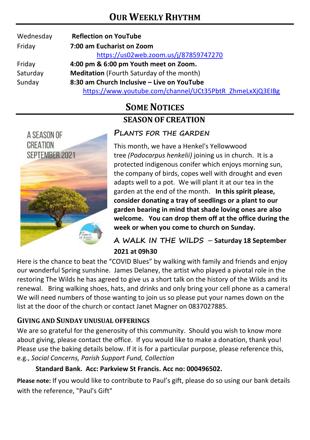| Wednesday | <b>Reflection on YouTube</b>                             |
|-----------|----------------------------------------------------------|
| Friday    | 7:00 am Eucharist on Zoom                                |
|           | https://us02web.zoom.us/j/87859747270                    |
| Friday    | 4:00 pm & 6:00 pm Youth meet on Zoom.                    |
| Saturday  | <b>Meditation</b> (Fourth Saturday of the month)         |
| Sunday    | 8:30 am Church Inclusive – Live on YouTube               |
|           | https://www.youtube.com/channel/UCt35PbtR_ZhmeLxXjQ3EIBg |

## **SOME NOTICES SEASON OF CREATION**



### **PLANTS FOR THE GARDEN**

This month, we have a Henkel's Yellowwood tree *(Podocarpus henkelii)* joining us in church. It is a protected indigenous conifer which enjoys morning sun, the company of birds, copes well with drought and even adapts well to a pot. We will plant it at our tea in the garden at the end of the month. **In this spirit please, consider donating a tray of seedlings or a plant to our garden bearing in mind that shade loving ones are also welcome. You can drop them off at the office during the week or when you come to church on Sunday.**

**A WALK IN THE WILDS** – **Saturday 18 September 2021 at 09h30**

Here is the chance to beat the "COVID Blues" by walking with family and friends and enjoy our wonderful Spring sunshine. James Delaney, the artist who played a pivotal role in the restoring The Wilds he has agreed to give us a short talk on the history of the Wilds and its renewal. Bring walking shoes, hats, and drinks and only bring your cell phone as a camera! We will need numbers of those wanting to join us so please put your names down on the list at the door of the church or contact Janet Magner on 0837027885.

### **GIVING AND SUNDAY UNUSUAL OFFERINGS**

We are so grateful for the generosity of this community. Should you wish to know more about giving, please contact the office. If you would like to make a donation, thank you! Please use the baking details below. If it is for a particular purpose, please reference this, e.g., *Social Concerns, Parish Support Fund, Collection*

#### **Standard Bank. Acc: Parkview St Francis. Acc no: 000496502.**

**Please note:** If you would like to contribute to Paul's gift, please do so using our bank details with the reference, "Paul's Gift"